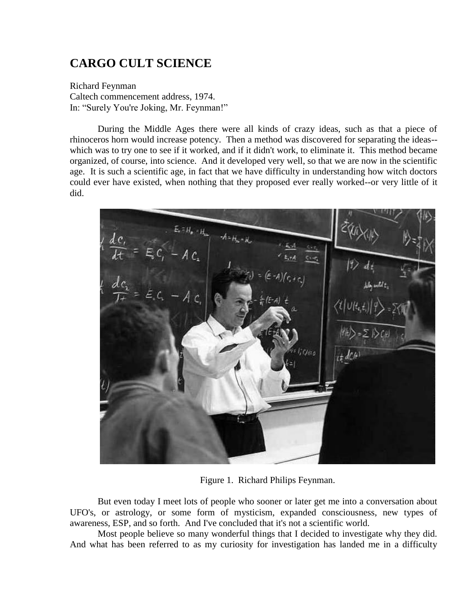## **CARGO CULT SCIENCE**

Richard Feynman Caltech commencement address, 1974. In: "Surely You're Joking, Mr. Feynman!"

During the Middle Ages there were all kinds of crazy ideas, such as that a piece of rhinoceros horn would increase potency. Then a method was discovered for separating the ideas- which was to try one to see if it worked, and if it didn't work, to eliminate it. This method became organized, of course, into science. And it developed very well, so that we are now in the scientific age. It is such a scientific age, in fact that we have difficulty in understanding how witch doctors could ever have existed, when nothing that they proposed ever really worked--or very little of it did.



Figure 1. Richard Philips Feynman.

But even today I meet lots of people who sooner or later get me into a conversation about UFO's, or astrology, or some form of mysticism, expanded consciousness, new types of awareness, ESP, and so forth. And I've concluded that it's not a scientific world.

Most people believe so many wonderful things that I decided to investigate why they did. And what has been referred to as my curiosity for investigation has landed me in a difficulty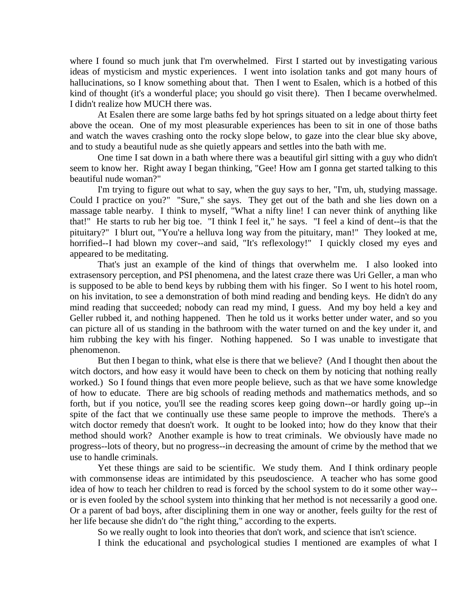where I found so much junk that I'm overwhelmed. First I started out by investigating various ideas of mysticism and mystic experiences. I went into isolation tanks and got many hours of hallucinations, so I know something about that. Then I went to Esalen, which is a hotbed of this kind of thought (it's a wonderful place; you should go visit there). Then I became overwhelmed. I didn't realize how MUCH there was.

At Esalen there are some large baths fed by hot springs situated on a ledge about thirty feet above the ocean. One of my most pleasurable experiences has been to sit in one of those baths and watch the waves crashing onto the rocky slope below, to gaze into the clear blue sky above, and to study a beautiful nude as she quietly appears and settles into the bath with me.

One time I sat down in a bath where there was a beautiful girl sitting with a guy who didn't seem to know her. Right away I began thinking, "Gee! How am I gonna get started talking to this beautiful nude woman?"

I'm trying to figure out what to say, when the guy says to her, "I'm, uh, studying massage. Could I practice on you?" "Sure," she says. They get out of the bath and she lies down on a massage table nearby. I think to myself, "What a nifty line! I can never think of anything like that!" He starts to rub her big toe. "I think I feel it," he says. "I feel a kind of dent--is that the pituitary?" I blurt out, "You're a helluva long way from the pituitary, man!" They looked at me, horrified--I had blown my cover--and said, "It's reflexology!" I quickly closed my eyes and appeared to be meditating.

That's just an example of the kind of things that overwhelm me. I also looked into extrasensory perception, and PSI phenomena, and the latest craze there was Uri Geller, a man who is supposed to be able to bend keys by rubbing them with his finger. So I went to his hotel room, on his invitation, to see a demonstration of both mind reading and bending keys. He didn't do any mind reading that succeeded; nobody can read my mind, I guess. And my boy held a key and Geller rubbed it, and nothing happened. Then he told us it works better under water, and so you can picture all of us standing in the bathroom with the water turned on and the key under it, and him rubbing the key with his finger. Nothing happened. So I was unable to investigate that phenomenon.

But then I began to think, what else is there that we believe? (And I thought then about the witch doctors, and how easy it would have been to check on them by noticing that nothing really worked.) So I found things that even more people believe, such as that we have some knowledge of how to educate. There are big schools of reading methods and mathematics methods, and so forth, but if you notice, you'll see the reading scores keep going down--or hardly going up--in spite of the fact that we continually use these same people to improve the methods. There's a witch doctor remedy that doesn't work. It ought to be looked into; how do they know that their method should work? Another example is how to treat criminals. We obviously have made no progress--lots of theory, but no progress--in decreasing the amount of crime by the method that we use to handle criminals.

Yet these things are said to be scientific. We study them. And I think ordinary people with commonsense ideas are intimidated by this pseudoscience. A teacher who has some good idea of how to teach her children to read is forced by the school system to do it some other way- or is even fooled by the school system into thinking that her method is not necessarily a good one. Or a parent of bad boys, after disciplining them in one way or another, feels guilty for the rest of her life because she didn't do "the right thing," according to the experts.

So we really ought to look into theories that don't work, and science that isn't science.

I think the educational and psychological studies I mentioned are examples of what I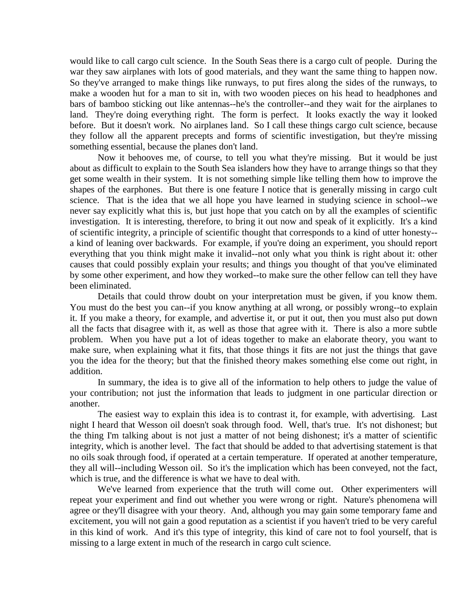would like to call cargo cult science. In the South Seas there is a cargo cult of people. During the war they saw airplanes with lots of good materials, and they want the same thing to happen now. So they've arranged to make things like runways, to put fires along the sides of the runways, to make a wooden hut for a man to sit in, with two wooden pieces on his head to headphones and bars of bamboo sticking out like antennas--he's the controller--and they wait for the airplanes to land. They're doing everything right. The form is perfect. It looks exactly the way it looked before. But it doesn't work. No airplanes land. So I call these things cargo cult science, because they follow all the apparent precepts and forms of scientific investigation, but they're missing something essential, because the planes don't land.

Now it behooves me, of course, to tell you what they're missing. But it would be just about as difficult to explain to the South Sea islanders how they have to arrange things so that they get some wealth in their system. It is not something simple like telling them how to improve the shapes of the earphones. But there is one feature I notice that is generally missing in cargo cult science. That is the idea that we all hope you have learned in studying science in school--we never say explicitly what this is, but just hope that you catch on by all the examples of scientific investigation. It is interesting, therefore, to bring it out now and speak of it explicitly. It's a kind of scientific integrity, a principle of scientific thought that corresponds to a kind of utter honesty- a kind of leaning over backwards. For example, if you're doing an experiment, you should report everything that you think might make it invalid--not only what you think is right about it: other causes that could possibly explain your results; and things you thought of that you've eliminated by some other experiment, and how they worked--to make sure the other fellow can tell they have been eliminated.

Details that could throw doubt on your interpretation must be given, if you know them. You must do the best you can--if you know anything at all wrong, or possibly wrong--to explain it. If you make a theory, for example, and advertise it, or put it out, then you must also put down all the facts that disagree with it, as well as those that agree with it. There is also a more subtle problem. When you have put a lot of ideas together to make an elaborate theory, you want to make sure, when explaining what it fits, that those things it fits are not just the things that gave you the idea for the theory; but that the finished theory makes something else come out right, in addition.

In summary, the idea is to give all of the information to help others to judge the value of your contribution; not just the information that leads to judgment in one particular direction or another.

The easiest way to explain this idea is to contrast it, for example, with advertising. Last night I heard that Wesson oil doesn't soak through food. Well, that's true. It's not dishonest; but the thing I'm talking about is not just a matter of not being dishonest; it's a matter of scientific integrity, which is another level. The fact that should be added to that advertising statement is that no oils soak through food, if operated at a certain temperature. If operated at another temperature, they all will--including Wesson oil. So it's the implication which has been conveyed, not the fact, which is true, and the difference is what we have to deal with.

We've learned from experience that the truth will come out. Other experimenters will repeat your experiment and find out whether you were wrong or right. Nature's phenomena will agree or they'll disagree with your theory. And, although you may gain some temporary fame and excitement, you will not gain a good reputation as a scientist if you haven't tried to be very careful in this kind of work. And it's this type of integrity, this kind of care not to fool yourself, that is missing to a large extent in much of the research in cargo cult science.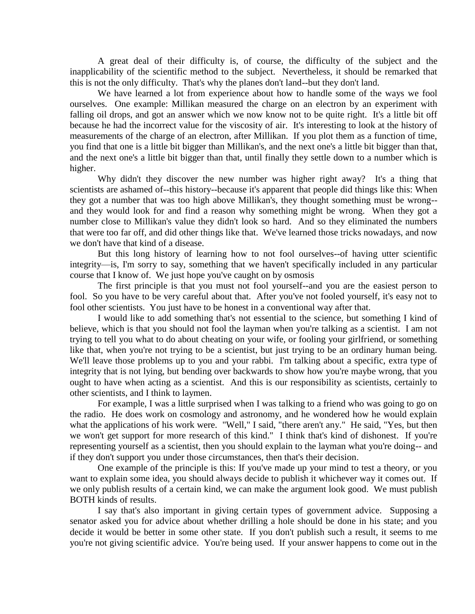A great deal of their difficulty is, of course, the difficulty of the subject and the inapplicability of the scientific method to the subject. Nevertheless, it should be remarked that this is not the only difficulty. That's why the planes don't land--but they don't land.

We have learned a lot from experience about how to handle some of the ways we fool ourselves. One example: Millikan measured the charge on an electron by an experiment with falling oil drops, and got an answer which we now know not to be quite right. It's a little bit off because he had the incorrect value for the viscosity of air. It's interesting to look at the history of measurements of the charge of an electron, after Millikan. If you plot them as a function of time, you find that one is a little bit bigger than Millikan's, and the next one's a little bit bigger than that, and the next one's a little bit bigger than that, until finally they settle down to a number which is higher.

Why didn't they discover the new number was higher right away? It's a thing that scientists are ashamed of--this history--because it's apparent that people did things like this: When they got a number that was too high above Millikan's, they thought something must be wrong- and they would look for and find a reason why something might be wrong. When they got a number close to Millikan's value they didn't look so hard. And so they eliminated the numbers that were too far off, and did other things like that. We've learned those tricks nowadays, and now we don't have that kind of a disease.

But this long history of learning how to not fool ourselves--of having utter scientific integrity—is, I'm sorry to say, something that we haven't specifically included in any particular course that I know of. We just hope you've caught on by osmosis

The first principle is that you must not fool yourself--and you are the easiest person to fool. So you have to be very careful about that. After you've not fooled yourself, it's easy not to fool other scientists. You just have to be honest in a conventional way after that.

I would like to add something that's not essential to the science, but something I kind of believe, which is that you should not fool the layman when you're talking as a scientist. I am not trying to tell you what to do about cheating on your wife, or fooling your girlfriend, or something like that, when you're not trying to be a scientist, but just trying to be an ordinary human being. We'll leave those problems up to you and your rabbi. I'm talking about a specific, extra type of integrity that is not lying, but bending over backwards to show how you're maybe wrong, that you ought to have when acting as a scientist. And this is our responsibility as scientists, certainly to other scientists, and I think to laymen.

For example, I was a little surprised when I was talking to a friend who was going to go on the radio. He does work on cosmology and astronomy, and he wondered how he would explain what the applications of his work were. "Well," I said, "there aren't any." He said, "Yes, but then we won't get support for more research of this kind." I think that's kind of dishonest. If you're representing yourself as a scientist, then you should explain to the layman what you're doing-- and if they don't support you under those circumstances, then that's their decision.

One example of the principle is this: If you've made up your mind to test a theory, or you want to explain some idea, you should always decide to publish it whichever way it comes out. If we only publish results of a certain kind, we can make the argument look good. We must publish BOTH kinds of results.

I say that's also important in giving certain types of government advice. Supposing a senator asked you for advice about whether drilling a hole should be done in his state; and you decide it would be better in some other state. If you don't publish such a result, it seems to me you're not giving scientific advice. You're being used. If your answer happens to come out in the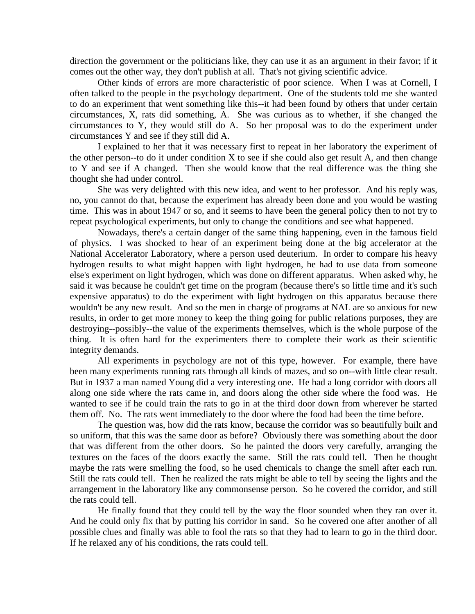direction the government or the politicians like, they can use it as an argument in their favor; if it comes out the other way, they don't publish at all. That's not giving scientific advice.

Other kinds of errors are more characteristic of poor science. When I was at Cornell, I often talked to the people in the psychology department. One of the students told me she wanted to do an experiment that went something like this--it had been found by others that under certain circumstances, X, rats did something, A. She was curious as to whether, if she changed the circumstances to Y, they would still do A. So her proposal was to do the experiment under circumstances Y and see if they still did A.

I explained to her that it was necessary first to repeat in her laboratory the experiment of the other person--to do it under condition X to see if she could also get result A, and then change to Y and see if A changed. Then she would know that the real difference was the thing she thought she had under control.

She was very delighted with this new idea, and went to her professor. And his reply was, no, you cannot do that, because the experiment has already been done and you would be wasting time. This was in about 1947 or so, and it seems to have been the general policy then to not try to repeat psychological experiments, but only to change the conditions and see what happened.

Nowadays, there's a certain danger of the same thing happening, even in the famous field of physics. I was shocked to hear of an experiment being done at the big accelerator at the National Accelerator Laboratory, where a person used deuterium. In order to compare his heavy hydrogen results to what might happen with light hydrogen, he had to use data from someone else's experiment on light hydrogen, which was done on different apparatus. When asked why, he said it was because he couldn't get time on the program (because there's so little time and it's such expensive apparatus) to do the experiment with light hydrogen on this apparatus because there wouldn't be any new result. And so the men in charge of programs at NAL are so anxious for new results, in order to get more money to keep the thing going for public relations purposes, they are destroying--possibly--the value of the experiments themselves, which is the whole purpose of the thing. It is often hard for the experimenters there to complete their work as their scientific integrity demands.

All experiments in psychology are not of this type, however. For example, there have been many experiments running rats through all kinds of mazes, and so on--with little clear result. But in 1937 a man named Young did a very interesting one. He had a long corridor with doors all along one side where the rats came in, and doors along the other side where the food was. He wanted to see if he could train the rats to go in at the third door down from wherever he started them off. No. The rats went immediately to the door where the food had been the time before.

The question was, how did the rats know, because the corridor was so beautifully built and so uniform, that this was the same door as before? Obviously there was something about the door that was different from the other doors. So he painted the doors very carefully, arranging the textures on the faces of the doors exactly the same. Still the rats could tell. Then he thought maybe the rats were smelling the food, so he used chemicals to change the smell after each run. Still the rats could tell. Then he realized the rats might be able to tell by seeing the lights and the arrangement in the laboratory like any commonsense person. So he covered the corridor, and still the rats could tell.

He finally found that they could tell by the way the floor sounded when they ran over it. And he could only fix that by putting his corridor in sand. So he covered one after another of all possible clues and finally was able to fool the rats so that they had to learn to go in the third door. If he relaxed any of his conditions, the rats could tell.